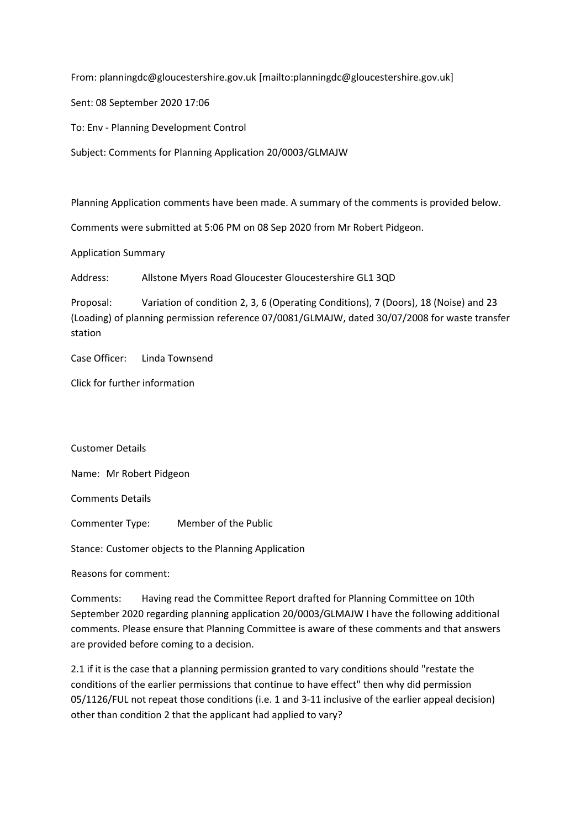From: planningdc@gloucestershire.gov.uk [mailto:planningdc@gloucestershire.gov.uk]

Sent: 08 September 2020 17:06

To: Env - Planning Development Control

Subject: Comments for Planning Application 20/0003/GLMAJW

Planning Application comments have been made. A summary of the comments is provided below.

Comments were submitted at 5:06 PM on 08 Sep 2020 from Mr Robert Pidgeon.

Application Summary

Address: Allstone Myers Road Gloucester Gloucestershire GL1 3QD

Proposal: Variation of condition 2, 3, 6 (Operating Conditions), 7 (Doors), 18 (Noise) and 23 (Loading) of planning permission reference 07/0081/GLMAJW, dated 30/07/2008 for waste transfer station

Case Officer: Linda Townsend

Click for further information

Customer Details

Name: Mr Robert Pidgeon

Comments Details

Commenter Type: Member of the Public

Stance: Customer objects to the Planning Application

Reasons for comment:

Comments: Having read the Committee Report drafted for Planning Committee on 10th September 2020 regarding planning application 20/0003/GLMAJW I have the following additional comments. Please ensure that Planning Committee is aware of these comments and that answers are provided before coming to a decision.

2.1 if it is the case that a planning permission granted to vary conditions should "restate the conditions of the earlier permissions that continue to have effect" then why did permission 05/1126/FUL not repeat those conditions (i.e. 1 and 3-11 inclusive of the earlier appeal decision) other than condition 2 that the applicant had applied to vary?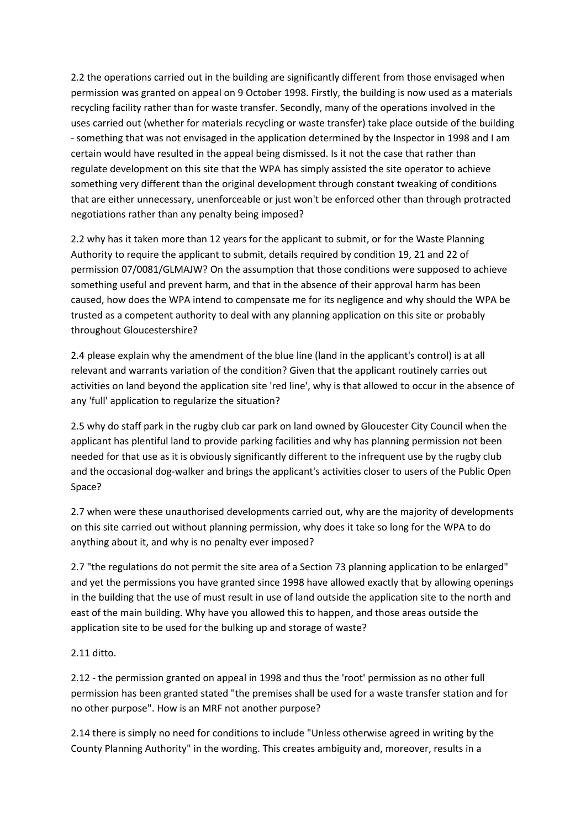2.2 the operations carried out in the building are significantly different from those envisaged when permission was granted on appeal on 9 October 1998. Firstly, the building is now used as a materials recycling facility rather than for waste transfer. Secondly, many of the operations involved in the uses carried out (whether for materials recycling or waste transfer) take place outside of the building - something that was not envisaged in the application determined by the Inspector in 1998 and I am certain would have resulted in the appeal being dismissed. Is it not the case that rather than regulate development on this site that the WPA has simply assisted the site operator to achieve something very different than the original development through constant tweaking of conditions that are either unnecessary, unenforceable or just won't be enforced other than through protracted negotiations rather than any penalty being imposed?

2.2 why has it taken more than 12 years for the applicant to submit, or for the Waste Planning Authority to require the applicant to submit, details required by condition 19, 21 and 22 of permission 07/0081/GLMAJW? On the assumption that those conditions were supposed to achieve something useful and prevent harm, and that in the absence of their approval harm has been caused, how does the WPA intend to compensate me for its negligence and why should the WPA be trusted as a competent authority to deal with any planning application on this site or probably throughout Gloucestershire?

2.4 please explain why the amendment of the blue line (land in the applicant's control) is at all relevant and warrants variation of the condition? Given that the applicant routinely carries out activities on land beyond the application site 'red line', why is that allowed to occur in the absence of any 'full' application to regularize the situation?

2.5 why do staff park in the rugby club car park on land owned by Gloucester City Council when the applicant has plentiful land to provide parking facilities and why has planning permission not been needed for that use as it is obviously significantly different to the infrequent use by the rugby club and the occasional dog-walker and brings the applicant's activities closer to users of the Public Open Space?

2.7 when were these unauthorised developments carried out, why are the majority of developments on this site carried out without planning permission, why does it take so long for the WPA to do anything about it, and why is no penalty ever imposed?

2.7 "the regulations do not permit the site area of a Section 73 planning application to be enlarged" and yet the permissions you have granted since 1998 have allowed exactly that by allowing openings in the building that the use of must result in use of land outside the application site to the north and east of the main building. Why have you allowed this to happen, and those areas outside the application site to be used for the bulking up and storage of waste?

## 2.11 ditto.

2.12 - the permission granted on appeal in 1998 and thus the 'root' permission as no other full permission has been granted stated "the premises shall be used for a waste transfer station and for no other purpose". How is an MRF not another purpose?

2.14 there is simply no need for conditions to include "Unless otherwise agreed in writing by the County Planning Authority" in the wording. This creates ambiguity and, moreover, results in a